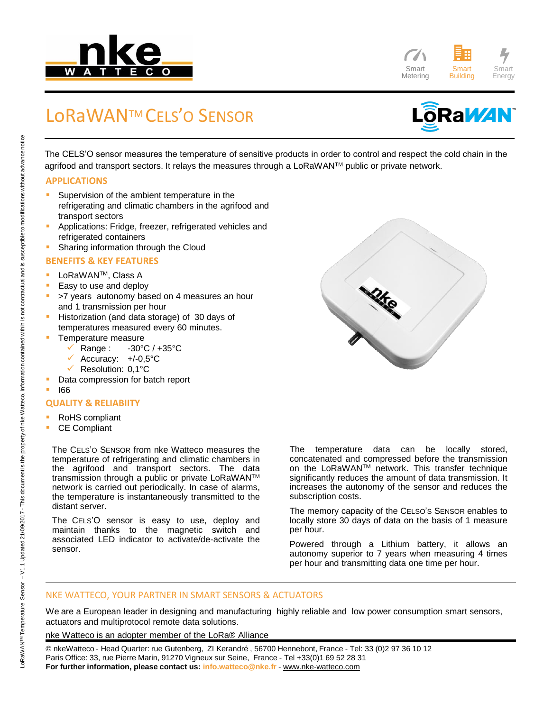



## LoRaWANTM CELS'O SENSOR



The CELS'O sensor measures the temperature of sensitive products in order to control and respect the cold chain in the agrifood and transport sectors. It relays the measures through a LoRaWAN™ public or private network.

#### **APPLICATIONS**

- Supervision of the ambient temperature in the refrigerating and climatic chambers in the agrifood and transport sectors
- Applications: Fridge, freezer, refrigerated vehicles and refrigerated containers
- Sharing information through the Cloud

#### **BENEFITS & KEY FEATURES**

- LoRaWAN<sup>™</sup>, Class A
- Easy to use and deploy
- >7 years autonomy based on 4 measures an hour and 1 transmission per hour
- Historization (and data storage) of 30 days of temperatures measured every 60 minutes.
- Temperature measure
	- Range : -30°C / +35°C
	- $\checkmark$  Accuracy:  $+/-0,5$ °C
	- $\checkmark$  Resolution: 0.1°C
- Data compression for batch report
- I66

#### **QUALITY & RELIABIITY**

- RoHS compliant
- CE Compliant

The CELS'O SENSOR from nke Watteco measures the temperature of refrigerating and climatic chambers in the agrifood and transport sectors. The data transmission through a public or private LoRaWAN™ network is carried out periodically. In case of alarms, the temperature is instantaneously transmitted to the distant server.

The CELS'O sensor is easy to use, deploy and maintain thanks to the magnetic switch and associated LED indicator to activate/de-activate the sensor.

The temperature data can be locally stored, concatenated and compressed before the transmission on the LoRaWANTM network. This transfer technique significantly reduces the amount of data transmission. It increases the autonomy of the sensor and reduces the subscription costs.

The memory capacity of the CELSO'S SENSOR enables to locally store 30 days of data on the basis of 1 measure per hour.

Powered through a Lithium battery, it allows an autonomy superior to 7 years when measuring 4 times per hour and transmitting data one time per hour.

#### NKE WATTECO, YOUR PARTNER IN SMART SENSORS & ACTUATORS

We are a European leader in designing and manufacturing highly reliable and low power consumption smart sensors, actuators and multiprotocol remote data solutions.

nke Watteco is an adopter member of the LoRa® Alliance

© nkeWatteco - Head Quarter: rue Gutenberg, ZI Kerandré , 56700 Hennebont, France - Tel: 33 (0)2 97 36 10 12 Paris Office: 33, rue Pierre Marin, 91270 Vigneux sur Seine, France - Tel +33(0)1 69 52 28 31 **For further information, please contact us: info.watteco@nke.fr** - www.nke-watteco.com